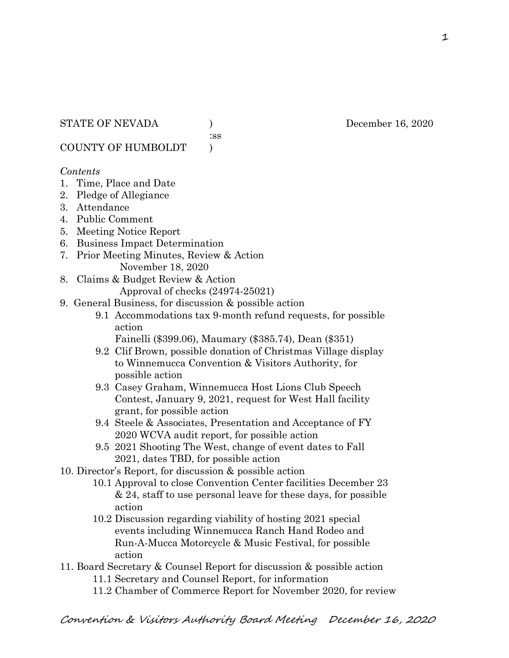:ss

COUNTY OF HUMBOLDT )

### *Contents*

- 1. Time, Place and Date
- 2. Pledge of Allegiance
- 3. Attendance
- 4. Public Comment
- 5. Meeting Notice Report
- 6. Business Impact Determination
- 7. Prior Meeting Minutes, Review & Action November 18, 2020
- 8. Claims & Budget Review & Action
	- Approval of checks (24974-25021)
- 9. General Business, for discussion & possible action
	- 9.1 Accommodations tax 9-month refund requests, for possible action
		- Fainelli (\$399.06), Maumary (\$385.74), Dean (\$351)
	- 9.2 Clif Brown, possible donation of Christmas Village display to Winnemucca Convention & Visitors Authority, for possible action
	- 9.3 Casey Graham, Winnemucca Host Lions Club Speech Contest, January 9, 2021, request for West Hall facility grant, for possible action
	- 9.4 Steele & Associates, Presentation and Acceptance of FY 2020 WCVA audit report, for possible action
	- 9.5 2021 Shooting The West, change of event dates to Fall 2021, dates TBD, for possible action
- 10. Director's Report, for discussion & possible action
	- 10.1 Approval to close Convention Center facilities December 23 & 24, staff to use personal leave for these days, for possible action
	- 10.2 Discussion regarding viability of hosting 2021 special events including Winnemucca Ranch Hand Rodeo and Run-A-Mucca Motorcycle & Music Festival, for possible action
- 11. Board Secretary & Counsel Report for discussion & possible action 11.1 Secretary and Counsel Report, for information
	- 11.2 Chamber of Commerce Report for November 2020, for review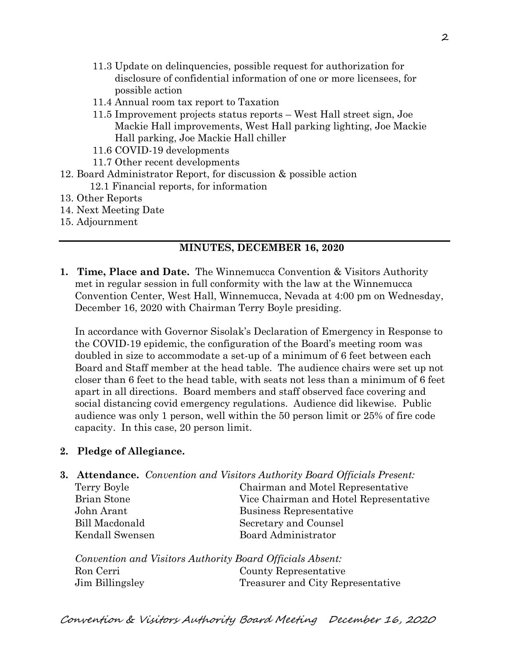- 11.3 Update on delinquencies, possible request for authorization for disclosure of confidential information of one or more licensees, for possible action
- 11.4 Annual room tax report to Taxation
- 11.5 Improvement projects status reports West Hall street sign, Joe Mackie Hall improvements, West Hall parking lighting, Joe Mackie Hall parking, Joe Mackie Hall chiller
- 11.6 COVID-19 developments
- 11.7 Other recent developments
- 12. Board Administrator Report, for discussion & possible action 12.1 Financial reports, for information
- 13. Other Reports
- 14. Next Meeting Date
- 15. Adjournment

# **MINUTES, DECEMBER 16, 2020**

**1. Time, Place and Date.** The Winnemucca Convention & Visitors Authority met in regular session in full conformity with the law at the Winnemucca Convention Center, West Hall, Winnemucca, Nevada at 4:00 pm on Wednesday, December 16, 2020 with Chairman Terry Boyle presiding.

In accordance with Governor Sisolak's Declaration of Emergency in Response to the COVID-19 epidemic, the configuration of the Board's meeting room was doubled in size to accommodate a set-up of a minimum of 6 feet between each Board and Staff member at the head table. The audience chairs were set up not closer than 6 feet to the head table, with seats not less than a minimum of 6 feet apart in all directions. Board members and staff observed face covering and social distancing covid emergency regulations. Audience did likewise. Public audience was only 1 person, well within the 50 person limit or 25% of fire code capacity. In this case, 20 person limit.

# **2. Pledge of Allegiance.**

**3. Attendance.** *Convention and Visitors Authority Board Officials Present:*

| Terry Boyle     | Chairman and Motel Representative      |  |
|-----------------|----------------------------------------|--|
| Brian Stone     | Vice Chairman and Hotel Representative |  |
| John Arant      | Business Representative                |  |
| Bill Macdonald  | Secretary and Counsel                  |  |
| Kendall Swensen | Board Administrator                    |  |
|                 |                                        |  |

*Convention and Visitors Authority Board Officials Absent:* Ron Cerri County Representative Jim Billingsley Treasurer and City Representative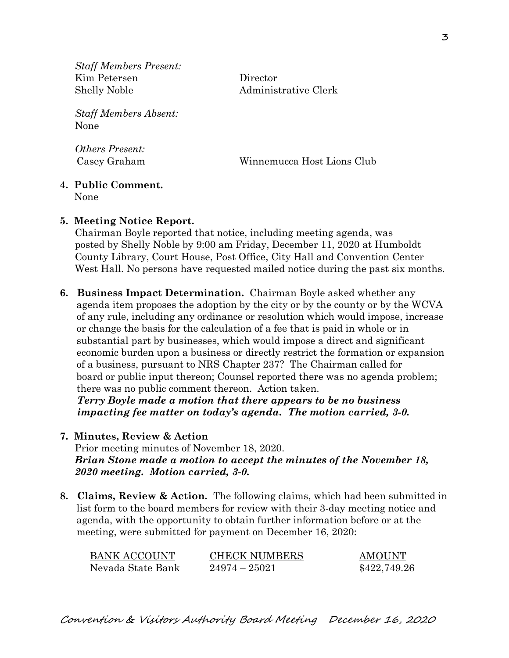*Staff Members Present:* Kim Petersen Director Shelly Noble Administrative Clerk

*Staff Members Absent:* None

*Others Present:*

Casey Graham Winnemucca Host Lions Club

## **4. Public Comment.**

None

## **5. Meeting Notice Report.**

Chairman Boyle reported that notice, including meeting agenda, was posted by Shelly Noble by 9:00 am Friday, December 11, 2020 at Humboldt County Library, Court House, Post Office, City Hall and Convention Center West Hall. No persons have requested mailed notice during the past six months.

**6. Business Impact Determination.** Chairman Boyle asked whether any agenda item proposes the adoption by the city or by the county or by the WCVA of any rule, including any ordinance or resolution which would impose, increase or change the basis for the calculation of a fee that is paid in whole or in substantial part by businesses, which would impose a direct and significant economic burden upon a business or directly restrict the formation or expansion of a business, pursuant to NRS Chapter 237? The Chairman called for board or public input thereon; Counsel reported there was no agenda problem; there was no public comment thereon. Action taken.  *Terry Boyle made a motion that there appears to be no business* 

 *impacting fee matter on today's agenda. The motion carried, 3-0.*

**7. Minutes, Review & Action** 

Prior meeting minutes of November 18, 2020. *Brian Stone made a motion to accept the minutes of the November 18, 2020 meeting. Motion carried, 3-0.* 

**8. Claims, Review & Action.** The following claims, which had been submitted in list form to the board members for review with their 3-day meeting notice and agenda, with the opportunity to obtain further information before or at the meeting, were submitted for payment on December 16, 2020:

| BANK ACCOUNT      | <b>CHECK NUMBERS</b> | <b>AMOUNT</b> |
|-------------------|----------------------|---------------|
| Nevada State Bank | $24974 - 25021$      | \$422,749.26  |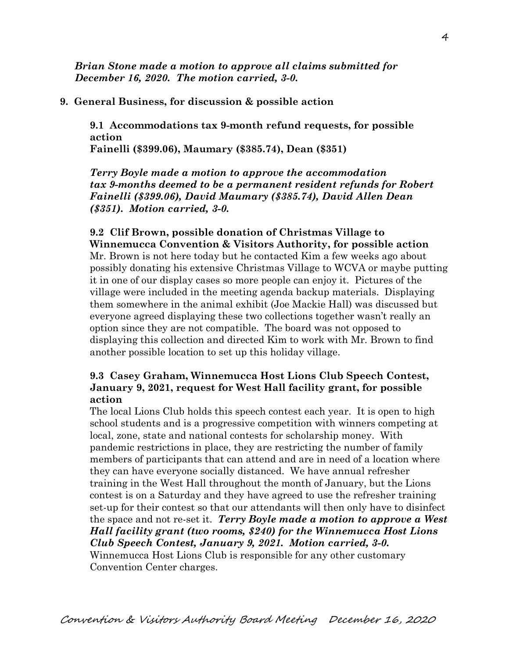*Brian Stone made a motion to approve all claims submitted for December 16, 2020. The motion carried, 3-0.*

#### **9. General Business, for discussion & possible action**

**9.1 Accommodations tax 9-month refund requests, for possible action Fainelli (\$399.06), Maumary (\$385.74), Dean (\$351)**

*Terry Boyle made a motion to approve the accommodation tax 9-months deemed to be a permanent resident refunds for Robert Fainelli (\$399.06), David Maumary (\$385.74), David Allen Dean (\$351). Motion carried, 3-0.* 

### **9.2 Clif Brown, possible donation of Christmas Village to Winnemucca Convention & Visitors Authority, for possible action** Mr. Brown is not here today but he contacted Kim a few weeks ago about possibly donating his extensive Christmas Village to WCVA or maybe putting it in one of our display cases so more people can enjoy it. Pictures of the village were included in the meeting agenda backup materials. Displaying them somewhere in the animal exhibit (Joe Mackie Hall) was discussed but everyone agreed displaying these two collections together wasn't really an option since they are not compatible. The board was not opposed to displaying this collection and directed Kim to work with Mr. Brown to find

## **9.3 Casey Graham, Winnemucca Host Lions Club Speech Contest, January 9, 2021, request for West Hall facility grant, for possible action**

another possible location to set up this holiday village.

The local Lions Club holds this speech contest each year. It is open to high school students and is a progressive competition with winners competing at local, zone, state and national contests for scholarship money. With pandemic restrictions in place, they are restricting the number of family members of participants that can attend and are in need of a location where they can have everyone socially distanced. We have annual refresher training in the West Hall throughout the month of January, but the Lions contest is on a Saturday and they have agreed to use the refresher training set-up for their contest so that our attendants will then only have to disinfect the space and not re-set it. *Terry Boyle made a motion to approve a West Hall facility grant (two rooms, \$240) for the Winnemucca Host Lions Club Speech Contest, January 9, 2021. Motion carried, 3-0.*  Winnemucca Host Lions Club is responsible for any other customary Convention Center charges.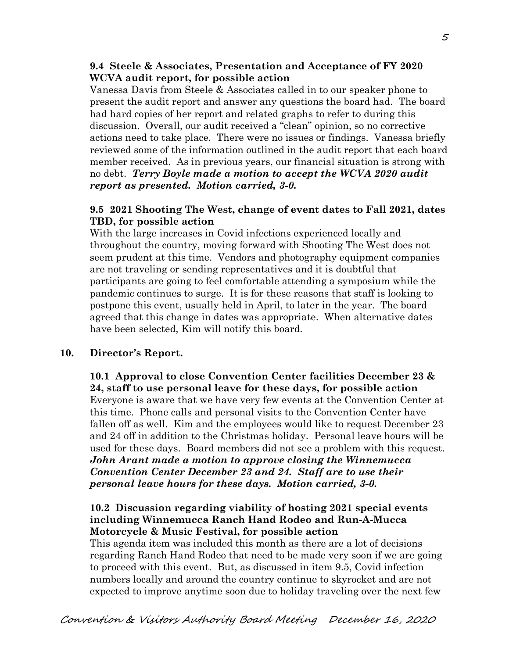#### **9.4 Steele & Associates, Presentation and Acceptance of FY 2020 WCVA audit report, for possible action**

Vanessa Davis from Steele & Associates called in to our speaker phone to present the audit report and answer any questions the board had. The board had hard copies of her report and related graphs to refer to during this discussion. Overall, our audit received a "clean" opinion, so no corrective actions need to take place. There were no issues or findings. Vanessa briefly reviewed some of the information outlined in the audit report that each board member received. As in previous years, our financial situation is strong with no debt. *Terry Boyle made a motion to accept the WCVA 2020 audit report as presented. Motion carried, 3-0.*

#### **9.5 2021 Shooting The West, change of event dates to Fall 2021, dates TBD, for possible action**

With the large increases in Covid infections experienced locally and throughout the country, moving forward with Shooting The West does not seem prudent at this time. Vendors and photography equipment companies are not traveling or sending representatives and it is doubtful that participants are going to feel comfortable attending a symposium while the pandemic continues to surge. It is for these reasons that staff is looking to postpone this event, usually held in April, to later in the year. The board agreed that this change in dates was appropriate. When alternative dates have been selected, Kim will notify this board.

### **10. Director's Report.**

**10.1 Approval to close Convention Center facilities December 23 & 24, staff to use personal leave for these days, for possible action** Everyone is aware that we have very few events at the Convention Center at this time. Phone calls and personal visits to the Convention Center have fallen off as well. Kim and the employees would like to request December 23 and 24 off in addition to the Christmas holiday. Personal leave hours will be used for these days. Board members did not see a problem with this request. *John Arant made a motion to approve closing the Winnemucca Convention Center December 23 and 24. Staff are to use their personal leave hours for these days. Motion carried, 3-0.* 

### **10.2 Discussion regarding viability of hosting 2021 special events including Winnemucca Ranch Hand Rodeo and Run-A-Mucca Motorcycle & Music Festival, for possible action**

This agenda item was included this month as there are a lot of decisions regarding Ranch Hand Rodeo that need to be made very soon if we are going to proceed with this event. But, as discussed in item 9.5, Covid infection numbers locally and around the country continue to skyrocket and are not expected to improve anytime soon due to holiday traveling over the next few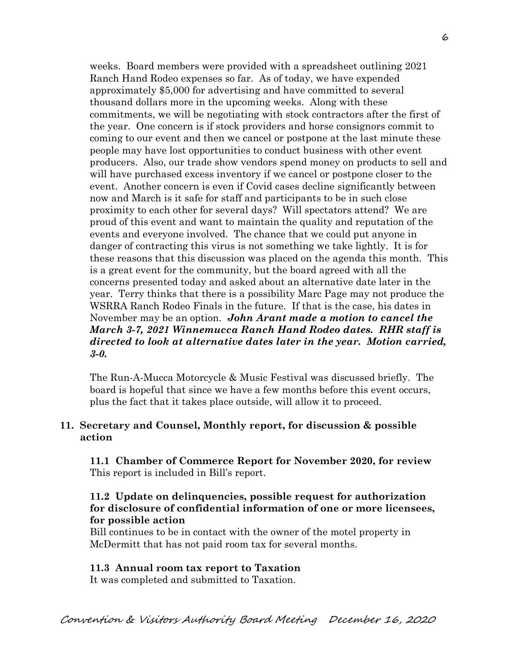weeks. Board members were provided with a spreadsheet outlining 2021 Ranch Hand Rodeo expenses so far. As of today, we have expended approximately \$5,000 for advertising and have committed to several thousand dollars more in the upcoming weeks. Along with these commitments, we will be negotiating with stock contractors after the first of the year. One concern is if stock providers and horse consignors commit to coming to our event and then we cancel or postpone at the last minute these people may have lost opportunities to conduct business with other event producers. Also, our trade show vendors spend money on products to sell and will have purchased excess inventory if we cancel or postpone closer to the event. Another concern is even if Covid cases decline significantly between now and March is it safe for staff and participants to be in such close proximity to each other for several days? Will spectators attend? We are proud of this event and want to maintain the quality and reputation of the events and everyone involved. The chance that we could put anyone in danger of contracting this virus is not something we take lightly. It is for these reasons that this discussion was placed on the agenda this month. This is a great event for the community, but the board agreed with all the concerns presented today and asked about an alternative date later in the year. Terry thinks that there is a possibility Marc Page may not produce the WSRRA Ranch Rodeo Finals in the future. If that is the case, his dates in November may be an option. *John Arant made a motion to cancel the March 3-7, 2021 Winnemucca Ranch Hand Rodeo dates. RHR staff is directed to look at alternative dates later in the year. Motion carried, 3-0.*

The Run-A-Mucca Motorcycle & Music Festival was discussed briefly. The board is hopeful that since we have a few months before this event occurs, plus the fact that it takes place outside, will allow it to proceed.

### **11. Secretary and Counsel, Monthly report, for discussion & possible action**

 **11.1 Chamber of Commerce Report for November 2020, for review** This report is included in Bill's report.

## **11.2 Update on delinquencies, possible request for authorization for disclosure of confidential information of one or more licensees, for possible action**

Bill continues to be in contact with the owner of the motel property in McDermitt that has not paid room tax for several months.

### **11.3 Annual room tax report to Taxation**

It was completed and submitted to Taxation.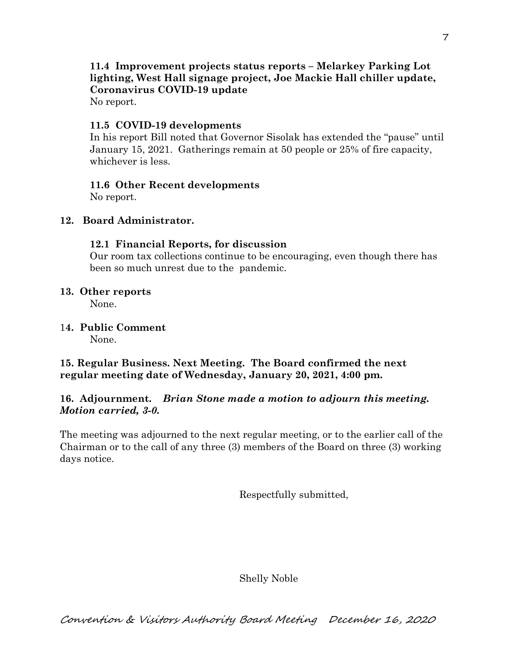# **11.4 Improvement projects status reports – Melarkey Parking Lot lighting, West Hall signage project, Joe Mackie Hall chiller update, Coronavirus COVID-19 update**

No report.

## **11.5 COVID-19 developments**

In his report Bill noted that Governor Sisolak has extended the "pause" until January 15, 2021. Gatherings remain at 50 people or 25% of fire capacity, whichever is less.

## **11.6 Other Recent developments**

No report.

### **12. Board Administrator.**

## **12.1 Financial Reports, for discussion**

Our room tax collections continue to be encouraging, even though there has been so much unrest due to the pandemic.

## **13. Other reports**

None.

1**4. Public Comment** None.

# **15. Regular Business. Next Meeting. The Board confirmed the next regular meeting date of Wednesday, January 20, 2021, 4:00 pm.**

## **16. Adjournment.** *Brian Stone made a motion to adjourn this meeting. Motion carried, 3-0.*

The meeting was adjourned to the next regular meeting, or to the earlier call of the Chairman or to the call of any three (3) members of the Board on three (3) working days notice.

Respectfully submitted,

Shelly Noble